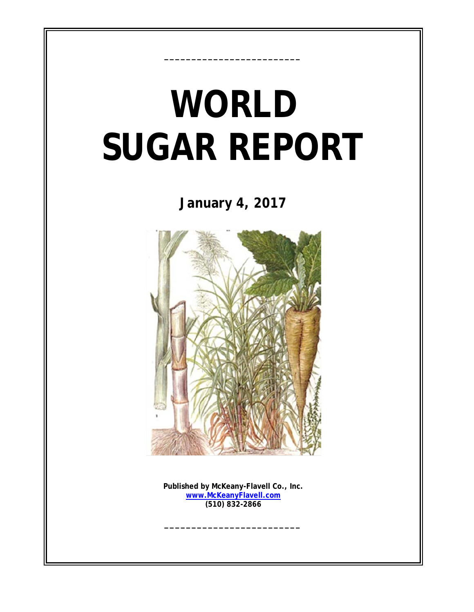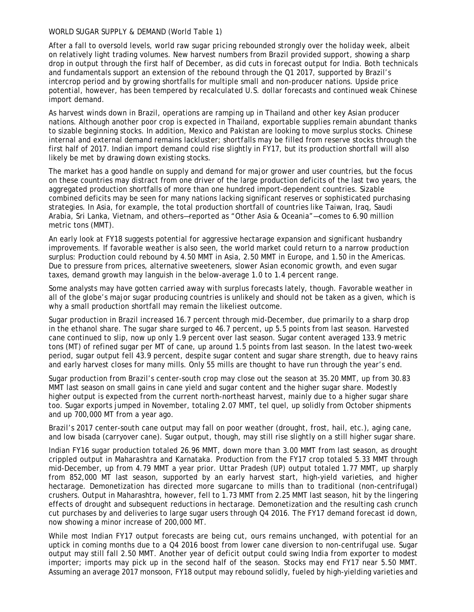## WORLD SUGAR SUPPLY & DEMAND (World Table 1)

After a fall to oversold levels, world raw sugar pricing rebounded strongly over the holiday week, albeit on relatively light trading volumes. New harvest numbers from Brazil provided support, showing a sharp drop in output through the first half of December, as did cuts in forecast output for India. Both technicals and fundamentals support an extension of the rebound through the Q1 2017, supported by Brazil's intercrop period and by growing shortfalls for multiple small and non-producer nations. Upside price potential, however, has been tempered by recalculated U.S. dollar forecasts and continued weak Chinese import demand.

As harvest winds down in Brazil, operations are ramping up in Thailand and other key Asian producer nations. Although another poor crop is expected in Thailand, exportable supplies remain abundant thanks to sizable beginning stocks. In addition, Mexico and Pakistan are looking to move surplus stocks. Chinese internal and external demand remains lackluster; shortfalls may be filled from reserve stocks through the first half of 2017. Indian import demand could rise slightly in FY17, but its production shortfall will also likely be met by drawing down existing stocks.

The market has a good handle on supply and demand for major grower and user countries, but the focus on these countries may distract from one driver of the large production deficits of the last two years, the aggregated production shortfalls of more than one hundred import-dependent countries. Sizable combined deficits may be seen for many nations lacking significant reserves or sophisticated purchasing strategies. In Asia, for example, the total production shortfall of countries like Taiwan, Iraq, Saudi Arabia, Sri Lanka, Vietnam, and others—reported as "Other Asia & Oceania"—comes to 6.90 million metric tons (MMT).

An early look at FY18 suggests potential for aggressive hectarage expansion and significant husbandry improvements. If favorable weather is also seen, the world market could return to a narrow production surplus: Production could rebound by 4.50 MMT in Asia, 2.50 MMT in Europe, and 1.50 in the Americas. Due to pressure from prices, alternative sweeteners, slower Asian economic growth, and even sugar taxes, demand growth may languish in the below-average 1.0 to 1.4 percent range.

Some analysts may have gotten carried away with surplus forecasts lately, though. Favorable weather in all of the globe's major sugar producing countries is unlikely and should not be taken as a given, which is why a small production shortfall may remain the likeliest outcome.

Sugar production in Brazil increased 16.7 percent through mid-December, due primarily to a sharp drop in the ethanol share. The sugar share surged to 46.7 percent, up 5.5 points from last season. Harvested cane continued to slip, now up only 1.9 percent over last season. Sugar content averaged 133.9 metric tons (MT) of refined sugar per MT of cane, up around 1.5 points from last season. In the latest two-week period, sugar output fell 43.9 percent, despite sugar content and sugar share strength, due to heavy rains and early harvest closes for many mills. Only 55 mills are thought to have run through the year's end.

Sugar production from Brazil's center-south crop may close out the season at 35.20 MMT, up from 30.83 MMT last season on small gains in cane yield and sugar content and the higher sugar share. Modestly higher output is expected from the current north-northeast harvest, mainly due to a higher sugar share too. Sugar exports jumped in November, totaling 2.07 MMT, tel quel, up solidly from October shipments and up 700,000 MT from a year ago.

Brazil's 2017 center-south cane output may fall on poor weather (drought, frost, hail, etc.), aging cane, and low bisada (carryover cane). Sugar output, though, may still rise slightly on a still higher sugar share.

Indian FY16 sugar production totaled 26.96 MMT, down more than 3.00 MMT from last season, as drought crippled output in Maharashtra and Karnataka. Production from the FY17 crop totaled 5.33 MMT through mid-December, up from 4.79 MMT a year prior. Uttar Pradesh (UP) output totaled 1.77 MMT, up sharply from 852,000 MT last season, supported by an early harvest start, high-yield varieties, and higher hectarage. Demonetization has directed more sugarcane to mills than to traditional (non-centrifugal) crushers. Output in Maharashtra, however, fell to 1.73 MMT from 2.25 MMT last season, hit by the lingering effects of drought and subsequent reductions in hectarage. Demonetization and the resulting cash crunch cut purchases by and deliveries to large sugar users through Q4 2016. The FY17 demand forecast id down, now showing a minor increase of 200,000 MT.

While most Indian FY17 output forecasts are being cut, ours remains unchanged, with potential for an uptick in coming months due to a Q4 2016 boost from lower cane diversion to non-centrifugal use. Sugar output may still fall 2.50 MMT. Another year of deficit output could swing India from exporter to modest importer; imports may pick up in the second half of the season. Stocks may end FY17 near 5.50 MMT. Assuming an average 2017 monsoon, FY18 output may rebound solidly, fueled by high-yielding varieties and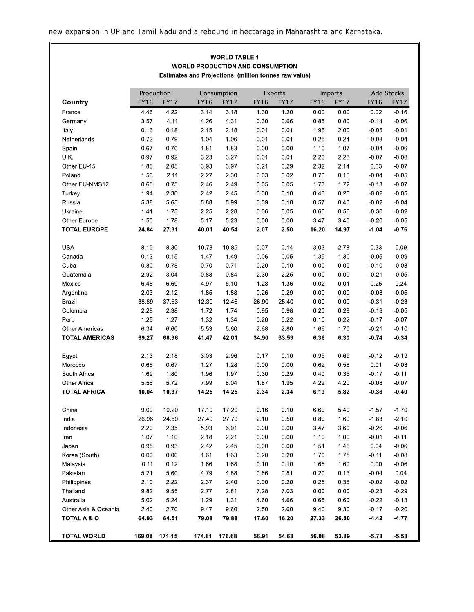## **WORLD TABLE 1 WORLD PRODUCTION AND CONSUMPTION** Estimates and Projections (million tonnes raw value)

|                        | Production  |             |             | Consumption |             | Exports     |             | Imports     |             | <b>Add Stocks</b> |  |
|------------------------|-------------|-------------|-------------|-------------|-------------|-------------|-------------|-------------|-------------|-------------------|--|
| Country                | <b>FY16</b> | <b>FY17</b> | <b>FY16</b> | <b>FY17</b> | <b>FY16</b> | <b>FY17</b> | <b>FY16</b> | <b>FY17</b> | <b>FY16</b> | <b>FY17</b>       |  |
| France                 | 4.46        | 4.22        | 3 14        | 3.18        | 1.30        | 1.20        | 0.00        | 0.00        | 0.02        | $-0.16$           |  |
| Germany                | 3.57        | 4 11        | 4.26        | 4 3 1       | 0.30        | 0.66        | 0.85        | 0.80        | $-0.14$     | $-0.06$           |  |
| Italy                  | 0.16        | 0.18        | 2.15        | 2.18        | 0.01        | 0.01        | 1.95        | 200         | $-0.05$     | $-0.01$           |  |
| Netherlands            | 0.72        | 0.79        | 1.04        | 1.06        | 0.01        | 0.01        | 0.25        | 0.24        | $-0.08$     | $-0.04$           |  |
| Spain                  | 0.67        | 0.70        | 1.81        | 1.83        | 0.00        | 0.00        | 1.10        | 1.07        | $-0.04$     | $-0.06$           |  |
| UK.                    | 0.97        | 0.92        | 3.23        | 3.27        | 0.01        | 0.01        | 2.20        | 2.28        | $-0.07$     | $-0.08$           |  |
| Other EU-15            | 1.85        | 2.05        | 3.93        | 3.97        | 0.21        | 0.29        | 2.32        | 2.14        | 0.03        | $-0.07$           |  |
| Poland                 | 1.56        | 2.11        | 2.27        | 2.30        | 0.03        | 0.02        | 0.70        | 0.16        | $-0.04$     | $-0.05$           |  |
| Other EU-NMS12         | 0.65        | 0.75        | 2.46        | 2.49        | 0.05        | 0.05        | 1.73        | 1.72        | $-0.13$     | $-0.07$           |  |
| Turkey                 | 1.94        | 2.30        | 2.42        | 2.45        | 0.00        | 0.10        | 0.46        | 0.20        | $-0.02$     | $-0.05$           |  |
| Russia                 | 5.38        | 565         | 5.88        | 5.99        | 0.09        | 0.10        | 0.57        | 0.40        | $-0.02$     | $-0.04$           |  |
| Ukraine                | 1.41        | 1.75        | 2.25        | 2.28        | 0.06        | 0.05        | 0.60        | 0.56        | $-0.30$     | $-0.02$           |  |
| Other Europe           | 1.50        | 1.78        | 5.17        | 5.23        | 0.00        | 0.00        | 3.47        | 3.40        | $-0.20$     | $-0.05$           |  |
|                        |             |             |             |             |             |             |             |             |             |                   |  |
| <b>TOTAL EUROPE</b>    | 24.84       | 27 31       | 40.01       | 40.54       | 2.07        | 2.50        | 16.20       | 14.97       | $-1.04$     | $-0.76$           |  |
| <b>USA</b>             | 8.15        | 8.30        | 10.78       | 10.85       | 0.07        | 0.14        | 3.03        | 2.78        | 0.33        | 0.09              |  |
| Canada                 | 0.13        | 0.15        | 1.47        | 1.49        | 0.06        | 0.05        | 1.35        | 1.30        | $-0.05$     | $-0.09$           |  |
| Cuba                   | 0.80        | 0.78        | 0.70        | 0.71        | 0.20        | 0.10        | 0.00        | 0.00        | $-0.10$     | $-0.03$           |  |
| Guatemala              | 2.92        | 3.04        | 0.83        | 0.84        | 2.30        | 2.25        | 0.00        | 0.00        | $-0.21$     | $-0.05$           |  |
| Mexico                 | 6.48        | 6.69        | 4.97        | 5.10        | 1.28        | 1 3 6       | 0.02        | 0.01        | 0.25        | 0.24              |  |
| Argentina              | 2.03        | 2.12        | 1.85        | 1.88        | 0.26        | 0.29        | 0.00        | 0.00        | $-0.08$     | $-0.05$           |  |
| Brazil                 | 38.89       | 37 63       | 12 30       | 12 46       | 26.90       | 25.40       | 0.00        | 0.00        | $-0.31$     | $-0.23$           |  |
| Colombia               | 2.28        | 2 3 8       | 1.72        | 1.74        | 0.95        | 0.98        | 0.20        | 0.29        | $-0.19$     | $-0.05$           |  |
| Peru                   | 1.25        | 1.27        | 1.32        | 1.34        | 0.20        | 0.22        | 0.10        | 0.22        | $-0.17$     | $-0.07$           |  |
| <b>Other Americas</b>  | 6.34        | 6.60        | 5.53        | 5.60        | 2.68        | 2.80        | 1.66        | 1.70        | $-0.21$     | $-0.10$           |  |
| <b>TOTAL AMERICAS</b>  | 69.27       | 68.96       | 41.47       | 42.01       | 34.90       | 33.59       | 6.36        | 6.30        | $-0.74$     | $-0.34$           |  |
|                        |             |             |             |             |             |             |             |             |             |                   |  |
| Egypt                  | 2.13        | 2.18        | 3.03        | 2.96        | 0.17        | 0.10        | 0.95        | 0.69        | $-0.12$     | $-0.19$           |  |
| Morocco                | 0.66        | 0.67        | 1.27        | 1.28        | 0.00        | 0.00        | 0.62        | 0.58        | 0.01        | $-0.03$           |  |
| South Africa           | 1.69        | 1.80        | 1.96        | 1.97        | 0.30        | 0.29        | 0.40        | 0.35        | $-0.17$     | $-0.11$           |  |
| <b>Other Africa</b>    | 5.56        | 5.72        | 7.99        | 8.04        | 1.87        | 1.95        | 4.22        | 4.20        | $-0.08$     | $-0.07$           |  |
| <b>TOTAL AFRICA</b>    | 10.04       | 10.37       | 14.25       | 14.25       | 2.34        | 2 3 4       | 6.19        | 5.82        | $-0.36$     | $-0.40$           |  |
|                        |             |             |             |             |             |             |             |             |             |                   |  |
| China                  | 9.09        | 10.20       | 17.10       | 17.20       | 0.16        | 0.10        | 6.60        | 5.40        | $-1.57$     | $-1.70$           |  |
| India                  | 26.96       | 24.50       | 27.49       | 27.70       | 2.10        | 0.50        | 0.80        | 1.60        | $-1.83$     | $-2.10$           |  |
| Indonesia              | 2.20        | 2 3 5       | 593         | 6.01        | 0.00        | 0.00        | 3.47        | 3.60        | $-0.26$     | $-0.06$           |  |
| Iran                   | 1.07        | 1.10        | 2.18        | 2.21        | 0.00        | 0.00        | 1.10        | 1.00        | $-0.01$     | $-0.11$           |  |
| Japan                  | 0.95        | 0.93        | 2.42        | 2.45        | 0.00        | 0.00        | 1.51        | 1.46        | 0.04        | $-0.06$           |  |
| Korea (South)          | 0.00        | 0.00        | 1.61        | 1.63        | 0.20        | 0.20        | 1.70        | 1.75        | $-0.11$     | $-0.08$           |  |
| Malaysia               | 0.11        | 0.12        | 1.66        | 1.68        | 0.10        | 0.10        | 1.65        | 1.60        | 0.00        | $-0.06$           |  |
| Pakistan               | 5.21        | 5.60        | 4.79        | 4.88        | 0.66        | 0.81        | 0.20        | 0.13        | $-0.04$     | 0.04              |  |
| Philippines            | 2.10        | 2.22        | 2.37        | 2.40        | 0.00        | 0.20        | 0.25        | 0.36        | $-0.02$     | $-0.02$           |  |
| Thailand               | 9.82        | 9.55        | 2.77        | 281         | 7.28        | 7.03        | 0.00        | 0.00        | $-0.23$     | $-0.29$           |  |
| Australia              | 5.02        | 5.24        | 1.29        | 1.31        | 4.60        | 4.66        | 0.65        | 0.60        | $-0.22$     | $-0.13$           |  |
| Other Asia & Oceania   | 2.40        | 2.70        | 9.47        | 9.60        | 2.50        | 2.60        | 9.40        | 9.30        | $-0.17$     | $-0.20$           |  |
| <b>TOTAL A &amp; O</b> | 64.93       | 64.51       | 79.08       | 79.88       | 17.60       | 16.20       | 27.33       | 26.80       | $-4.42$     | $-4.77$           |  |
|                        |             |             |             |             |             |             |             |             |             |                   |  |
| <b>TOTAL WORLD</b>     | 169.08      | 171.15      | 174 81      | 176.68      | 56.91       | 54.63       | 56.08       | 53.89       | $-573$      | $-5.53$           |  |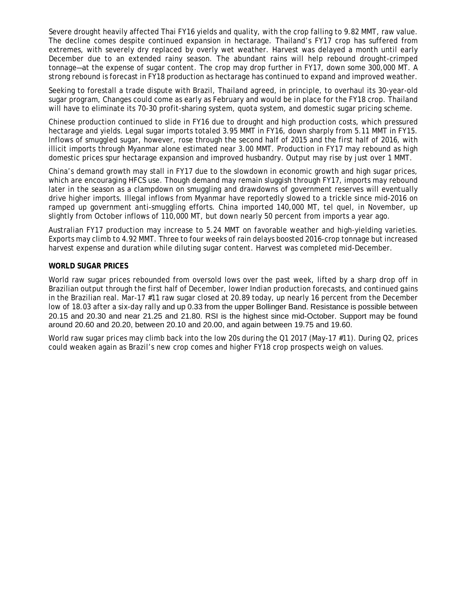Severe drought heavily affected Thai FY16 yields and quality, with the crop falling to 9.82 MMT, raw value. The decline comes despite continued expansion in hectarage. Thailand's FY17 crop has suffered from extremes, with severely dry replaced by overly wet weather. Harvest was delayed a month until early December due to an extended rainy season. The abundant rains will help rebound drought-crimped tonnage—at the expense of sugar content. The crop may drop further in FY17, down some 300,000 MT. A strong rebound is forecast in FY18 production as hectarage has continued to expand and improved weather.

Seeking to forestall a trade dispute with Brazil, Thailand agreed, in principle, to overhaul its 30-year-old sugar program, Changes could come as early as February and would be in place for the FY18 crop. Thailand will have to eliminate its 70-30 profit-sharing system, quota system, and domestic sugar pricing scheme.

Chinese production continued to slide in FY16 due to drought and high production costs, which pressured hectarage and yields. Legal sugar imports totaled 3.95 MMT in FY16, down sharply from 5.11 MMT in FY15. Inflows of smuggled sugar, however, rose through the second half of 2015 and the first half of 2016, with illicit imports through Myanmar alone estimated near 3.00 MMT. Production in FY17 may rebound as high domestic prices spur hectarage expansion and improved husbandry. Output may rise by just over 1 MMT.

China's demand growth may stall in FY17 due to the slowdown in economic growth and high sugar prices, which are encouraging HFCS use. Though demand may remain sluggish through FY17, imports may rebound later in the season as a clampdown on smuggling and drawdowns of government reserves will eventually drive higher imports. Illegal inflows from Myanmar have reportedly slowed to a trickle since mid-2016 on ramped up government anti-smuggling efforts. China imported 140,000 MT, tel quel, in November, up slightly from October inflows of 110,000 MT, but down nearly 50 percent from imports a year ago.

Australian FY17 production may increase to 5.24 MMT on favorable weather and high-yielding varieties. Exports may climb to 4.92 MMT. Three to four weeks of rain delays boosted 2016-crop tonnage but increased harvest expense and duration while diluting sugar content. Harvest was completed mid-December.

## **WORLD SUGAR PRICES**

World raw sugar prices rebounded from oversold lows over the past week, lifted by a sharp drop off in Brazilian output through the first half of December, lower Indian production forecasts, and continued gains in the Brazilian real. Mar-17 #11 raw sugar closed at 20.89 today, up nearly 16 percent from the December low of 18.03 after a six-day rally and up 0.33 from the upper Bollinger Band. Resistance is possible between 20.15 and 20.30 and near 21.25 and 21.80. RSI is the highest since mid-October. Support may be found around 20.60 and 20.20, between 20.10 and 20.00, and again between 19.75 and 19.60.

World raw sugar prices may climb back into the low 20s during the Q1 2017 (May-17 #11). During Q2, prices could weaken again as Brazil's new crop comes and higher FY18 crop prospects weigh on values.